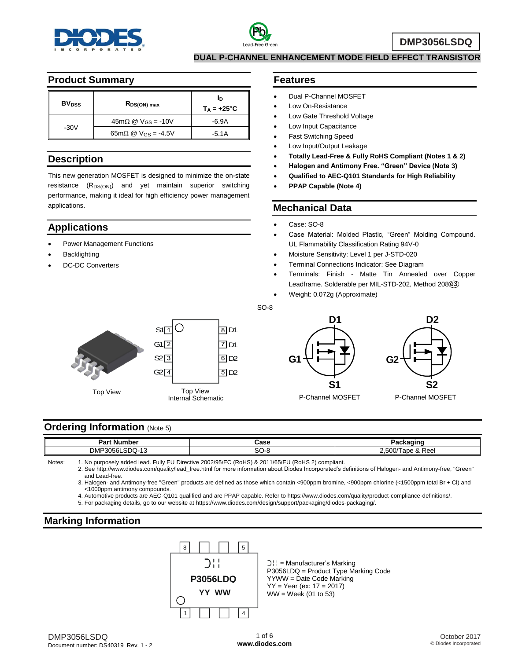



**DMP3056LSDQ**

**DUAL P-CHANNEL ENHANCEMENT MODE FIELD EFFECT TRANSISTOR**

#### **Product Summary**

| <b>BV</b> <sub>DSS</sub> | $R_{DS(ON) max}$                                     | In<br>$T_A = +25^{\circ}C$ |
|--------------------------|------------------------------------------------------|----------------------------|
|                          | $45m\Omega \n\textcircled{2}$ V <sub>GS</sub> = -10V | -6.9A                      |
| $-30V$                   | $65 \text{m}\Omega \text{ @ V}_{GS} = -4.5 \text{V}$ | $-5.1A$                    |

### **Description**

This new generation MOSFET is designed to minimize the on-state resistance (R<sub>DS(ON)</sub>) and yet maintain superior switching performance, making it ideal for high efficiency power management applications.

## **Applications**

- Power Management Functions
- **Backlighting**
- DC-DC Converters

#### **Features**

- Dual P-Channel MOSFET
- Low On-Resistance
- Low Gate Threshold Voltage
- Low Input Capacitance
- Fast Switching Speed
- Low Input/Output Leakage
- **Totally Lead-Free & Fully RoHS Compliant (Notes 1 & 2)**
- **Halogen and Antimony Free. "Green" Device (Note 3)**
- **Qualified to AEC-Q101 Standards for High Reliability**
- **PPAP Capable (Note 4)**

## **Mechanical Data**

- Case: SO-8
- Case Material: Molded Plastic, "Green" Molding Compound. UL Flammability Classification Rating 94V-0
- Moisture Sensitivity: Level 1 per J-STD-020
- Terminal Connections Indicator: See Diagram
- Terminals: Finish Matte Tin Annealed over Copper Leadframe. Solderable per MIL-STD-202, Method 208 **e3**
- Weight: 0.072g (Approximate)



Top View







## **Ordering Information (Note 5)**

| Part<br>. Number                                             | `acc<br>⊍ત્ર      | าckaɑinɑ<br>ач                                      |
|--------------------------------------------------------------|-------------------|-----------------------------------------------------|
| <b>DMF</b><br>SDO-.<br>. 30561°،<br>$\overline{\phantom{a}}$ | $\sim$<br>.<br>ov | $  -$<br>$\sim$<br>''~~<br>–.ວເ⊬<br>ave<br>' a Reel |

SO-8

Notes: 1. No purposely added lead. Fully EU Directive 2002/95/EC (RoHS) & 2011/65/EU (RoHS 2) compliant.

2. See http://www.diodes.com/quality/lead\_free.html for more information about Diodes Incorporated's definitions of Halogen- and Antimony-free, "Green" and Lead-free.

3. Halogen- and Antimony-free "Green" products are defined as those which contain <900ppm bromine, <900ppm chlorine (<1500ppm total Br + Cl) and <1000ppm antimony compounds.

4. Automotive products are AEC-Q101 qualified and are PPAP capable. Refer to https://www.diodes.com/quality/product-compliance-definitions/.

5. For packaging details, go to our website at https://www.diodes.com/design/support/packaging/diodes-packaging/.

## **Marking Information**



 $\bigcup$  = Manufacturer's Marking P3056LDQ = Product Type Marking Code YYWW = Date Code Marking YY = Year (ex: 17 = 2017) WW = Week (01 to 53)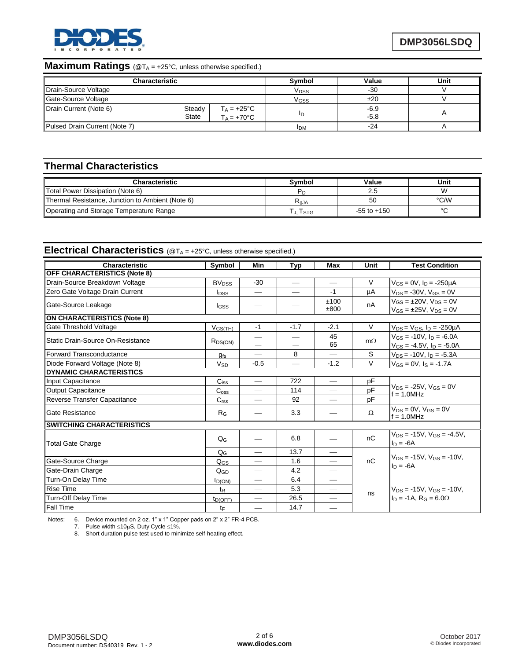

## **Maximum Ratings** (@T<sub>A</sub> = +25°C, unless otherwise specified.)

| <b>Characteristic</b>         |                                                                 | Symbol                  | Value            | Unit |
|-------------------------------|-----------------------------------------------------------------|-------------------------|------------------|------|
| Drain-Source Voltage          |                                                                 | <b>V</b> <sub>DSS</sub> | $-30$            |      |
| Gate-Source Voltage           |                                                                 | V <sub>GSS</sub>        | ±20              |      |
| Drain Current (Note 6)        | Steady<br>$T_A = +25^{\circ}C$<br>State<br>$T_A = +70^{\circ}C$ | ID                      | $-6.9$<br>$-5.8$ |      |
| Pulsed Drain Current (Note 7) |                                                                 | <b>IDM</b>              | -24              |      |

## **Thermal Characteristics**

| <b>Characteristic</b>                            | Svmbol                                  | Value           | Unit   |
|--------------------------------------------------|-----------------------------------------|-----------------|--------|
| Total Power Dissipation (Note 6)                 | <b>P</b> <sub>D</sub>                   | 2.5             | W      |
| Thermal Resistance, Junction to Ambient (Note 6) | $\mathsf{R}_{\boldsymbol{\uptheta}}$ JA | 50              | °C/W   |
| Operating and Storage Temperature Range          | I STG                                   | $-55$ to $+150$ | $\sim$ |

# **Electrical Characteristics** (@T<sub>A</sub> = +25°C, unless otherwise specified.)

| Characteristic                      | Symbol                  | Min                           | Typ                      | <b>Max</b>                    | Unit      | <b>Test Condition</b>                                                    |
|-------------------------------------|-------------------------|-------------------------------|--------------------------|-------------------------------|-----------|--------------------------------------------------------------------------|
| <b>OFF CHARACTERISTICS (Note 8)</b> |                         |                               |                          |                               |           |                                                                          |
| Drain-Source Breakdown Voltage      | <b>BV<sub>DSS</sub></b> | $-30$                         | $\overline{\phantom{0}}$ |                               | V         | $V_{GS} = 0V$ , $I_D = -250\mu A$                                        |
| Zero Gate Voltage Drain Current     | $I_{DSS}$               |                               | $\overline{\phantom{0}}$ | $-1$                          | μA        | $V_{DS} = -30V$ , $V_{GS} = 0V$                                          |
| Gate-Source Leakage                 | lgss                    |                               |                          | ±100<br>±800                  | nA        | $V_{GS} = \pm 20V$ , $V_{DS} = 0V$<br>$V_{GS} = \pm 25V$ , $V_{DS} = 0V$ |
| <b>ON CHARACTERISTICS (Note 8)</b>  |                         |                               |                          |                               |           |                                                                          |
| Gate Threshold Voltage              | $V$ GS(TH)              | $-1$                          | $-1.7$                   | $-2.1$                        | V         | $V_{DS} = V_{GS}$ , $I_D = -250 \mu A$                                   |
| Static Drain-Source On-Resistance   | $R_{DS(ON)}$            |                               |                          | 45<br>65                      | $m\Omega$ | $V_{GS}$ = -10V, $I_D$ = -6.0A<br>$V_{GS} = -4.5V$ , $I_D = -5.0A$       |
| Forward Transconductance            | $g_{fs}$                |                               | 8                        |                               | S         | $V_{DS}$ = -10V, $I_D$ = -5.3A                                           |
| Diode Forward Voltage (Note 8)      | $V_{SD}$                | $-0.5$                        |                          | $-1.2$                        | $\vee$    | $V_{GS} = 0V$ , $I_S = -1.7A$                                            |
| <b>DYNAMIC CHARACTERISTICS</b>      |                         |                               |                          |                               |           |                                                                          |
| Input Capacitance                   | $C_{iss}$               |                               | 722                      | $\overline{\phantom{m}}$      | pF        | $V_{DS}$ = -25V, $V_{GS}$ = 0V<br>$f = 1.0$ MHz                          |
| <b>Output Capacitance</b>           | C <sub>oss</sub>        |                               | 114                      |                               | pF        |                                                                          |
| Reverse Transfer Capacitance        | C <sub>rss</sub>        |                               | 92                       |                               | pF        |                                                                          |
| Gate Resistance                     | $R_G$                   |                               | 3.3                      |                               | $\Omega$  | $V_{DS} = 0V$ , $V_{GS} = 0V$<br>$f = 1.0$ MHz                           |
| <b>SWITCHING CHARACTERISTICS</b>    |                         |                               |                          |                               |           |                                                                          |
| <b>Total Gate Charge</b>            | $Q_G$                   |                               | 6.8                      |                               | nC        | $V_{DS} = -15V$ , $V_{GS} = -4.5V$ ,<br>$I_D = -6A$                      |
|                                     | $Q_G$                   |                               | 13.7                     |                               |           |                                                                          |
| Gate-Source Charge                  | $Q_{GS}$                |                               | 1.6                      | $\overline{\phantom{0}}$      | nC        | $V_{DS} = -15V$ , $V_{GS} = -10V$ .<br>$\ln = -6A$                       |
| Gate-Drain Charge                   | QGD                     |                               | 4.2                      |                               |           |                                                                          |
| Turn-On Delay Time                  | $t_{D(ON)}$             |                               | 6.4                      | $\overbrace{\phantom{aaaaa}}$ |           | $V_{DS}$ = -15V, $V_{GS}$ = -10V,                                        |
| <b>Rise Time</b>                    | $t_{R}$                 | $\overbrace{\phantom{12332}}$ | 5.3                      |                               |           |                                                                          |
| <b>Turn-Off Delay Time</b>          | $t_{D(OFF)}$            |                               | 26.5                     |                               | ns        | $In = -1A$ , $R_G = 6.0\Omega$                                           |
| <b>Fall Time</b>                    | tF                      |                               | 14.7                     | $\overline{\phantom{0}}$      |           |                                                                          |

Notes: 6. Device mounted on 2 oz. 1" x 1" Copper pads on 2" x 2" FR-4 PCB.

7. Pulse width  $\leq 10\mu S$ , Duty Cycle  $\leq 1\%$ .

8. Short duration pulse test used to minimize self-heating effect.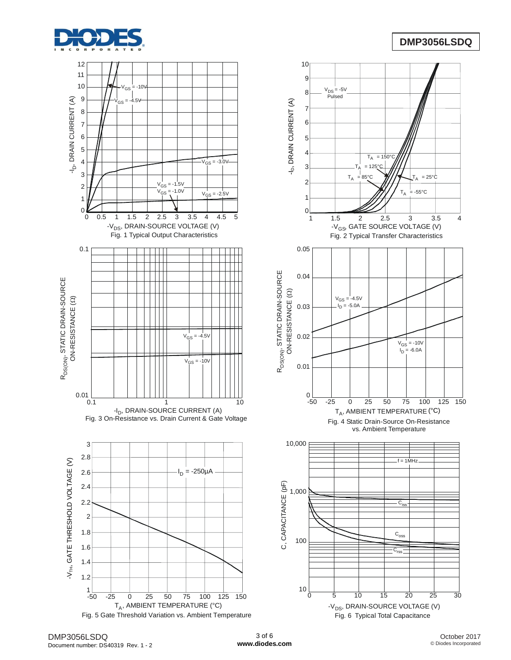





-50 -25 0 25 50 75 100 125 150  $\overline{0}$  25 50 75 100 1<br>T<sub>A</sub>, AMBIENT TEMPERATURE (°C)

 $C<sub>i</sub>$ 

 $f = 1$ MHz

 $C_{\text{oss}}$  $\overline{C_{rss}}$ 

 $V_{\text{GS}} = -10V$  $I_{\text{GS}} = -10$ <br> $I_{\text{D}} = -6.0$ A

Fig. 4 Static Drain-Source On-Resistance vs. Ambient Temperature

Fig. 2 Typical Transfer Characteristics

-V<sub>GS</sub>, GATE SOURCE VOLTAGE (V)

 $T_{\Delta}$ 

 $-55^{\circ}$ C

 $= 25^{\circ}$ C

 $-4.5V$ ,<br>= -5.0A  $V_{GS}$  $\mathsf{I}_\mathsf{D}$ 

 $T_A$  $= 85^{\circ}$ C

 $V_{DS} = -5V$ <sub>DS</sub> = -ସ<br>Pulsed

> $T_A$  $= 125^{\circ}C$  $\mathsf{T}_\mathsf{A}$  $= 150^{\circ}$ C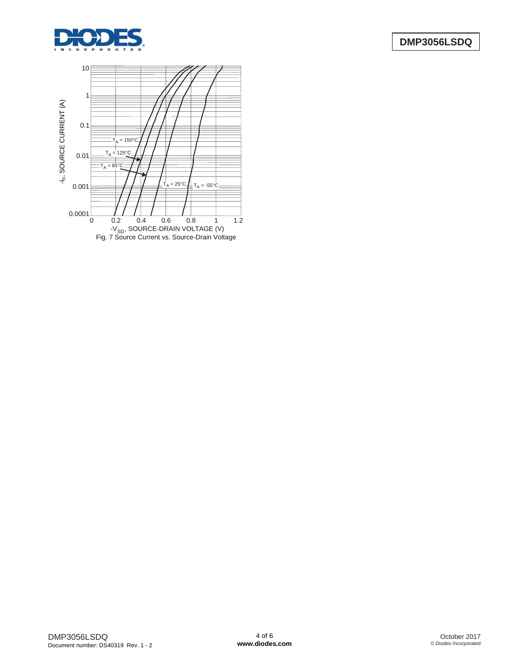

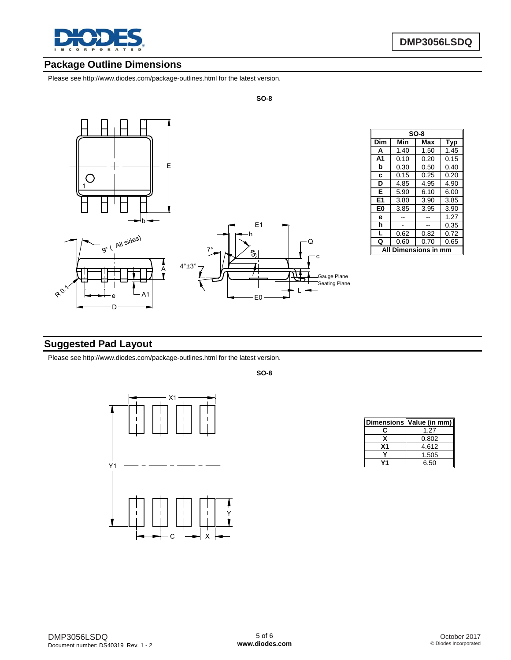

## **Package Outline Dimensions**

Please see http://www.diodes.com/package-outlines.html for the latest version.



| $SO-8$         |      |      |      |  |
|----------------|------|------|------|--|
| Dim            | Min  | Max  | Typ  |  |
| A              | 1.40 | 1.50 | 1.45 |  |
| A <sub>1</sub> | 0.10 | 0.20 | 0.15 |  |
| b              | 0.30 | 0.50 | 0.40 |  |
| C              | 0.15 | 0.25 | 0.20 |  |
| D              | 4.85 | 4.95 | 4.90 |  |
| Е              | 5.90 | 6.10 | 6.00 |  |
| E <sub>1</sub> | 3.80 | 3.90 | 3.85 |  |
| E0             | 3.85 | 3.95 | 3.90 |  |
| е              |      |      | 1.27 |  |
| h              |      |      | 0.35 |  |
| L              | 0.62 | 0.82 | 0.72 |  |
| Q              | 0.60 | 0.70 | 0.65 |  |
| mensions i     |      |      |      |  |

## **Suggested Pad Layout**

Please see http://www.diodes.com/package-outlines.html for the latest version.

**SO-8**

**SO-8**



|    | Dimensions Value (in mm) |  |  |
|----|--------------------------|--|--|
| r  | 1.27                     |  |  |
| x  | 0.802                    |  |  |
| Χ1 | 4.612                    |  |  |
|    | 1.505                    |  |  |
|    | 6.50                     |  |  |